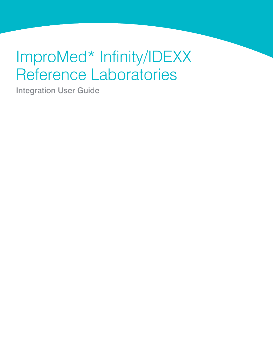# ImproMed\* Infinity/IDEXX Reference Laboratories

Integration User Guide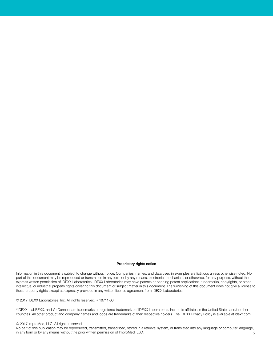#### Proprietary rights notice

Information in this document is subject to change without notice. Companies, names, and data used in examples are fictitious unless otherwise noted. No part of this document may be reproduced or transmitted in any form or by any means, electronic, mechanical, or otherwise, for any purpose, without the express written permission of IDEXX Laboratories. IDEXX Laboratories may have patents or pending patent applications, trademarks, copyrights, or other intellectual or industrial property rights covering this document or subject matter in this document. The furnishing of this document does not give a license to these property rights except as expressly provided in any written license agreement from IDEXX Laboratories.

© 2017 IDEXX Laboratories, Inc. All rights reserved. • 10711-00

\*IDEXX, LabREXX, and VetConnect are trademarks or registered trademarks of IDEXX Laboratories, Inc. or its affiliates in the United States and/or other countries. All other product and company names and logos are trademarks of their respective holders. The IDEXX Privacy Policy is available at idexx.com

#### © 2017 ImproMed, LLC. All rights reserved.

No part of this publication may be reproduced, transmitted, transcribed, stored in a retrieval system, or translated into any language or computer language, in any form or by any means without the prior written permission of ImproMed, LLC.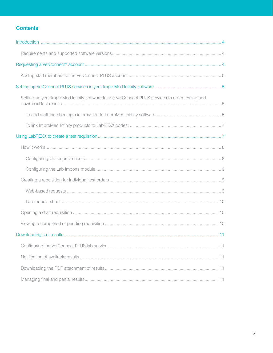# **Contents**

| Setting up your ImproMed Infinity software to use VetConnect PLUS services to order testing and |  |
|-------------------------------------------------------------------------------------------------|--|
|                                                                                                 |  |
|                                                                                                 |  |
|                                                                                                 |  |
|                                                                                                 |  |
|                                                                                                 |  |
|                                                                                                 |  |
|                                                                                                 |  |
|                                                                                                 |  |
|                                                                                                 |  |
|                                                                                                 |  |
|                                                                                                 |  |
|                                                                                                 |  |
|                                                                                                 |  |
|                                                                                                 |  |
|                                                                                                 |  |
|                                                                                                 |  |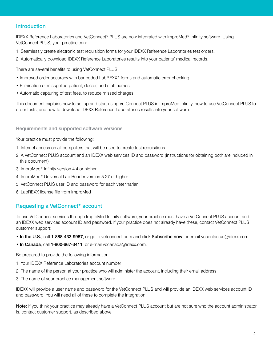# <span id="page-3-0"></span>Introduction

IDEXX Reference Laboratories and VetConnect\* PLUS are now integrated with ImproMed\* Infinity software. Using VetConnect PLUS, your practice can:

- 1. Seamlessly create electronic test requisition forms for your IDEXX Reference Laboratories test orders.
- 2. Automatically download IDEXX Reference Laboratories results into your patients' medical records.

There are several benefits to using VetConnect PLUS:

- Improved order accuracy with bar-coded LabREXX\* forms and automatic error checking
- Elimination of misspelled patient, doctor, and staff names
- Automatic capturing of test fees, to reduce missed charges

This document explains how to set up and start using VetConnect PLUS in ImproMed Infinity, how to use VetConnect PLUS to order tests, and how to download IDEXX Reference Laboratories results into your software.

#### <span id="page-3-1"></span>Requirements and supported software versions

Your practice must provide the following:

- 1. Internet access on all computers that will be used to create test requisitions
- 2. A VetConnect PLUS account and an IDEXX web services ID and password (instructions for obtaining both are included in this document)
- 3. ImproMed\* Infinity version 4.4 or higher
- 4. ImproMed\* Universal Lab Reader version 5.27 or higher
- 5. VetConnect PLUS user ID and password for each veterinarian
- 6. LabREXX license file from ImproMed

# <span id="page-3-2"></span>Requesting a VetConnect\* account

To use VetConnect services through ImproMed Infinity software, your practice must have a VetConnect PLUS account and an IDEXX web services account ID and password. If your practice does not already have these, contact VetConnect PLUS customer support:

- In the U.S., call 1-888-433-9987, or go to vetconnect.com and click Subscribe now, or email [vccontactus@idexx.com](mailto:vccontactus@idexx.com)
- In Canada, call 1-800-667-3411, or e-mail vccanada@idexx.com.

Be prepared to provide the following information:

- 1. Your IDEXX Reference Laboratories account number
- 2. The name of the person at your practice who will administer the account, including their email address
- 3. The name of your practice management software

IDEXX will provide a user name and password for the VetConnect PLUS and will provide an IDEXX web services account ID and password. You will need all of these to complete the integration.

Note: If you think your practice may already have a VetConnect PLUS account but are not sure who the account administrator is, contact customer support, as described above.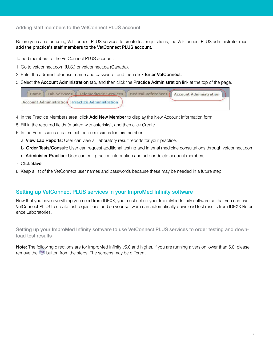# <span id="page-4-0"></span>Adding staff members to the VetConnect PLUS account

Before you can start using VetConnect PLUS services to create test requisitions, the VetConnect PLUS administrator must add the practice's staff members to the VetConnect PLUS account.

To add members to the VetConnect PLUS account:

- 1. Go to vetconnect.com (U.S.) or vetconnect.ca (Canada).
- 2. Enter the administrator user name and password, and then click **Enter VetConnect.**
- 3. Select the Account Administration tab, and then click the Practice Administration link at the top of the page.

| Home   Lab Services   Telemedicine Services   Medical References   Account Administration |  |  |
|-------------------------------------------------------------------------------------------|--|--|
| <b>Account Administration   Practice Administration</b>                                   |  |  |

- 4. In the Practice Members area, click Add New Member to display the New Account information form.
- 5. Fill in the required fields (marked with asterisks), and then click Create.
- 6. In the Permissions area, select the permissions for this member:
	- a. View Lab Reports: User can view all laboratory result reports for your practice.
	- b. Order Tests/Consult: User can request additional testing and internal medicine consultations through vetconnect.com.
	- c. Administer Practice: User can edit practice information and add or delete account members.
- 7. Click Save.
- 8. Keep a list of the VetConnect user names and passwords because these may be needed in a future step.

# <span id="page-4-1"></span>Setting up VetConnect PLUS services in your ImproMed Infinity software

Now that you have everything you need from IDEXX, you must set up your ImproMed Infinity software so that you can use VetConnect PLUS to create test requisitions and so your software can automatically download test results from IDEXX Reference Laboratories.

<span id="page-4-2"></span>Setting up your ImproMed Infinity software to use VetConnect PLUS services to order testing and download test results

Note: The following directions are for ImproMed Infinity v5.0 and higher. If you are running a version lower than 5.0, please remove the **button from the steps. The screens may be different.**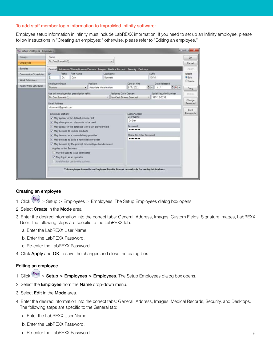#### <span id="page-5-0"></span>To add staff member login information to ImproMed Infinity software:

Employee setup information in Infinity must include LabREXX information. If you need to set up an Infinity employee, please follow instructions in "[Creating an employee;](#page-5-1)" otherwise, please refer to ["Editing an employee](#page-5-2)."

| Groups                | Name           |                          |                                                         |                        |           |                       |                                                                                             |     |                       |               |                        | OK                 |
|-----------------------|----------------|--------------------------|---------------------------------------------------------|------------------------|-----------|-----------------------|---------------------------------------------------------------------------------------------|-----|-----------------------|---------------|------------------------|--------------------|
| <b>Employees</b>      |                | Dr. Dan Bonnett (1)      |                                                         |                        |           | ۰                     |                                                                                             |     |                       |               |                        | Cancel             |
| <b>Bundles</b>        |                |                          |                                                         |                        |           |                       | General Addresses/Phone/Licenses/Custom Images Medical Records Security Desktops            |     |                       |               |                        | Apply              |
| Commission Schedules  | ID             | Prefix                   | First Name                                              |                        | Last Name |                       |                                                                                             |     | Suffix                |               |                        | Mode               |
| <b>Work Schedules</b> | h              | Dr.                      | Dan                                                     |                        | Bonnett   |                       |                                                                                             |     | <b>DVM</b>            |               |                        | <b>DEdit</b>       |
|                       | Employee Group |                          |                                                         | Position               |           |                       | Date of Hire                                                                                |     |                       | Date Released |                        | Create             |
| Apply Work Schedules  | Doctors        |                          |                                                         | Associate Veterinarian |           |                       | 6/7/2011                                                                                    | 수학자 | $\prime$              |               | $ \times$ $-$          | Copy               |
|                       |                |                          | Use this employee for prescription refills              |                        |           | Assigned Cash Drawer: |                                                                                             |     |                       |               | Social Security Number | Delete             |
|                       |                | Dr. Dan Bonnett (1)      |                                                         |                        | ۰         |                       | No Cash Drawer Selected                                                                     |     | $\bullet$ 597-12-6158 |               |                        |                    |
|                       | Email Address  |                          |                                                         |                        |           |                       |                                                                                             |     |                       |               |                        | Change<br>Password |
|                       |                | dbonnett@gmail.com       |                                                         |                        |           |                       |                                                                                             |     |                       |               |                        |                    |
|                       |                |                          |                                                         |                        |           |                       |                                                                                             |     |                       |               |                        | Print<br>Passwords |
|                       |                | <b>Employee Options</b>  | J May appear in the default provider list               |                        |           |                       | LabREXX User<br>User Name                                                                   |     |                       |               |                        |                    |
|                       |                |                          | J May allow product discounts to be used                |                        |           |                       | Dr Dan                                                                                      |     |                       |               |                        |                    |
|                       |                |                          | / May appear in the database view's last provider field |                        |           |                       | Password                                                                                    |     |                       |               |                        |                    |
|                       |                |                          | V May be used to invoice products                       |                        |           |                       |                                                                                             |     |                       |               |                        |                    |
|                       |                |                          | V May be used as a home delivery provider               |                        |           |                       | Please Re-Enter Password                                                                    |     |                       |               |                        |                    |
|                       |                |                          | V May be used to build a home delivery order            |                        |           |                       |                                                                                             |     |                       |               |                        |                    |
|                       |                |                          | V May be used by the prompt for employee bundle screen  |                        |           |                       |                                                                                             |     |                       |               |                        |                    |
|                       |                | Applies to this Business |                                                         |                        |           |                       |                                                                                             |     |                       |               |                        |                    |
|                       |                |                          | May be used to issue certificates                       |                        |           |                       |                                                                                             |     |                       |               |                        |                    |
|                       |                |                          | V May log in as an operator                             |                        |           |                       |                                                                                             |     |                       |               |                        |                    |
|                       |                |                          | U. Available for use by this business                   |                        |           |                       |                                                                                             |     |                       |               |                        |                    |
|                       |                |                          |                                                         |                        |           |                       |                                                                                             |     |                       |               |                        |                    |
|                       |                |                          |                                                         |                        |           |                       | This employee is used in an Employee Bundle. It must be available for use by this business. |     |                       |               |                        |                    |

### <span id="page-5-1"></span>Creating an employee

- 1. Click  $\left(\frac{Q\omega}{Q}\right)$  > Setup > Employees > Employees. The Setup Employees dialog box opens.
- 2. Select Create in the Mode area.
- 3. Enter the desired information into the correct tabs: General, Address, Images, Custom Fields, Signature Images, LabREXX User. The following steps are specific to the LabREXX tab:
	- a. Enter the LabREXX User Name.
	- b. Enter the LabREXX Password.
	- c. Re-enter the LabREXX Password.
- 4. Click Apply and OK to save the changes and close the dialog box.

# <span id="page-5-2"></span>Editing an employee

- 1. Click  $\bigotimes$  > Setup > Employees > Employees. The Setup Employees dialog box opens.
- 2. Select the **Employee** from the **Name** drop-down menu.
- 3. Select Edit in the Mode area.
- 4. Enter the desired information into the correct tabs: General, Address, Images, Medical Records, Security, and Desktops. The following steps are specific to the General tab:
	- a. Enter the LabREXX User Name.
	- b. Enter the LabREXX Password.
	- c. Re-enter the LabREXX Password.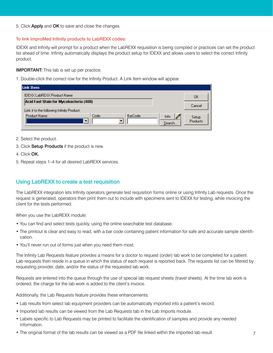5. Click Apply and OK to save and close the changes.

# <span id="page-6-0"></span>To link ImproMed Infinity products to LabREXX codes:

IDEXX and Infinity will prompt for a product when the LabREXX requisition is being compiled or practices can set the product list ahead of time. Infinity automatically displays the product setup for IDEXX and allows users to select the correct Infinity product.

# **IMPORTANT:** This tab is set up per practice.

1. Double-click the correct row for the Infinity Product. A Link Item window will appear.

| Link Item                                                                            |       |          |                |                   |
|--------------------------------------------------------------------------------------|-------|----------|----------------|-------------------|
| IDEXX LabREXX Product Name                                                           |       |          |                | ΟK                |
| Acid Fast Stain for Mycobacteria (408)<br>Link it to the following Infinity Product. |       |          |                | Cancel            |
| Product Name:                                                                        | Code: | BarCode: | Info<br>Search | Setup<br>Products |

- 2. Select the product.
- 3. Click Setup Products if the product is new.
- 4. Click OK.
- 5. Repeat steps 1–4 for all desired LabREXX services.

# <span id="page-6-1"></span>Using LabREXX to create a test requisition

The LabREXX integration lets Infinity operators generate test requisition forms online or using Infinity Lab requests. Once the request is generated, operators then print them out to include with specimens sent to IDEXX for testing, while invoicing the client for the tests performed.

When you use the LabREXX module:

- You can find and select tests quickly, using the online searchable test database.
- The printout is clear and easy to read, with a bar code containing patient information for safe and accurate sample identification.
- You'll never run out of forms just when you need them most.

The Infinity Lab Requests feature provides a means for a doctor to request (order) lab work to be completed for a patient. Lab requests then reside in a queue in which the status of each request is reported back. The requests list can be filtered by requesting provider, date, and/or the status of the requested lab work.

Requests are entered into the queue through the use of special lab request sheets (travel sheets). At the time lab work is ordered, the charge for the lab work is added to the client's invoice.

Additionally, the Lab Requests feature provides these enhancements:

- Lab results from select lab equipment providers can be automatically imported into a patient's record.
- Imported lab results can be viewed from the Lab Requests tab in the Lab Imports module.
- Labels specific to Lab Requests may be printed to facilitate the identification of samples and provide any needed information.
- The original format of the lab results can be viewed as a PDF file linked within the imported lab result.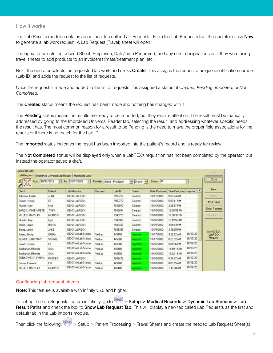#### <span id="page-7-0"></span>How it works

The Lab Results module contains an optional tab called Lab Requests. From the Lab Requests tab, the operator clicks New to generate a lab work request. A Lab Request (Travel) sheet will open.

The operator selects the desired Sheet, Employee, Date/Time Performed, and any other designations as if they were using travel sheets to add products to an invoice/estimate/treatment plan, etc.

Next, the operator selects the requested lab work and clicks Create. This assigns the request a unique identification number (Lab ID) and adds the request to the list of requests.

Once the request is made and added to the list of requests, it is assigned a status of *Created, Pending, Imported,* or *Not Completed.*

The **Created** status means the request has been made and nothing has changed with it.

The Pending status means the results are ready to be imported, but they require attention. The result must be manually addressed by going to the ImproMed Universal Reader tab, selecting the result, and addressing whatever specific needs the result has. The most common reason for a result to be Pending is the need to make the proper field associations for the results or if there is no match for the Lab ID.

The Imported status indicates the result has been imported into the patient's record and is ready for review.

The Not Completed status will be displayed only when a LabREXX requisition has not been completed by the operator, but instead the operator saved a draft.

| $\mathscr{G}$ is a $\mathscr{G}$<br>$\sqrt{2a}$ | From: $10/13/2012$ $\bullet$ | To: 10/17/2012<br>$\mathcal{F}_{\mathcal{P}}$ | Provider: [None - Providers] |         | $\blacktriangleright$ [None] $\blacktriangleright$ | Status: All |                                        | ۳        | Close               |
|-------------------------------------------------|------------------------------|-----------------------------------------------|------------------------------|---------|----------------------------------------------------|-------------|----------------------------------------|----------|---------------------|
| <b>Client</b>                                   | Patient                      | Lab/Machine                                   | Request                      | Lab ID  | Status                                             |             | Date Performed Time Performed Imported |          | New                 |
| Johnson, Caitlin                                | JUNE                         | <b>IDEXX LabREXX</b>                          |                              | 7953727 | Created                                            | 10/17/2012  | 9.0824 A M                             |          | Delete              |
| Zeinert, Nicole                                 | ET                           | <b>IDEXX LabREXX</b>                          |                              | 7950772 | Created                                            | 10/16/2012  | 5:07:41 PM                             |          | Print Label         |
| Mueller, Amy                                    | Mya                          | IDEXX LabREXX                                 |                              | 7948073 | Created                                            | 10/16/2012  | 2:28:57 PM                             |          |                     |
| ZARDA, JAMIE & PETE                             | TIKKA                        | <b>IDEXX LabREXX</b>                          |                              | 7945844 | Created                                            | 10/16/2012  | 12:16:58 PM                            |          | <b>Show Request</b> |
| MILLER, MARY JO                                 | <b>MURPHY</b>                | IDEXY LabREXY                                 |                              | 7945720 | Created                                            | 10/16/2012  | 1206:35 PM                             |          | <b>Show Reada</b>   |
| Mueller, Arry                                   | Mya                          | IDEXX LabREXX                                 |                              | 7943982 | Created                                            | 10/16/2012  | 10:19:50 AM                            |          |                     |
| Stone, Laurel                                   | <b>BRITA</b>                 | IDEXX LabREXX                                 |                              | 7938487 | Created                                            | 10/15/2012  | 354:43 PM                              |          |                     |
| Stone, Laurel                                   | JAKE                         | <b>IDEXX LabREXX</b>                          |                              | 7938397 | Created                                            | 10/15/2012  | 34925 PM                               |          | New IDEXX           |
| Jones, Becky                                    | <b>EMMA</b>                  | IDEXXVetLab Station                           | VetLab                       | 145700  | Imported                                           | 10/17/2012  | 9:23:22 AM                             | 10/17/20 | LabREXX             |
| KLINKA, GARY/AMY                                | WINNIE                       | IDEX VetLab Station                           | VetLab                       | 145600  | <i><b>Imported</b></i>                             | 10/17/2012  | 8:25:32 AM                             | 10/17/20 | Request             |
| Zeinert, Nicole                                 | ET                           | IDEXX VetLab Station                          | VetLab                       | 145500  | <b>Imported</b>                                    | 10/16/2012  | 5:01:06 PM                             | 10/16/20 |                     |
| Buchanan, Rhonda                                | SAM                          | IDEXXVetLab Station                           | VetLab                       | 145400  | <b>Imported</b>                                    | 10/16/2012  | 11:49:19 AM                            | 10/16/20 |                     |
| Buchanan, Rhonda                                | SAM                          | IDEXX VetLab Station                          | VetLab                       | 145300  | Imported                                           | 10/16/2012  | 11:32:18 AM                            | 10/16/20 |                     |
| SONKOWSKY, LYNN &                               | PARKER                       | IDEXX LabREXX                                 |                              | 7942472 | Imported                                           | 10/16/2012  | 8:34:57 AM                             | 10/17/20 |                     |
| Cruver, Elaine M.                               | <b>ELI</b>                   | IDEXX VetLab Station                          | VetLab                       | 145200  | <i><b>Imported</b></i>                             | 10/16/2012  | 8.09.25 AM                             | 10/16/20 |                     |
|                                                 |                              | IDEXX VetLab Station                          |                              | 145100  |                                                    | 10/16/2012  | 7:48:00 AM                             | 10/16/20 |                     |

# <span id="page-7-1"></span>Configuring lab request sheets

Note: This feature is available with Infinity v5.0 and higher.

To set up the Lab Requests feature in Infinity, go to  $\geq 0$  > Setup > Medical Records > Dynamic Lab Screens > Lab Result Paths and check the box to Show Lab Request Tab. This will display a new tab called Lab Requests as the first and default tab in the Lab Imports module.

Then click the following:  $\gg$  > Setup > Patient Processing > Travel Sheets and create the needed Lab Request Sheet(s).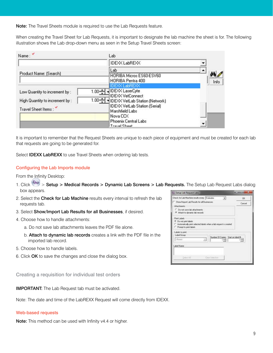Note: The Travel Sheets module is required to use the Lab Requests feature.

When creating the Travel Sheet for Lab Requests, it is important to designate the lab machine the sheet is for. The following illustration shows the Lab drop-down menu as seen in the Setup Travel Sheets screen:

| Name:                          |           | Lab                                                                       |      |
|--------------------------------|-----------|---------------------------------------------------------------------------|------|
|                                |           | IDEXX LabREXX                                                             |      |
| Product Name: (Search)         |           | Lab                                                                       |      |
|                                |           | HORIBA Micros ES60-ESV60<br>HORIBA Pentra 400                             | Info |
| Low Quantity to increment by : |           | <b>IDEXX LabREXX</b><br>1.00 - IDEXX LaserCyte<br><b>IDEXX VetConnect</b> |      |
| High Quantity to increment by: | 1.00 $-1$ | • IDEXX VetLab Station (Network)                                          |      |
| Travel Sheet Items:            |           | IDEXX VetLab Station (Serial)<br>Marshfield Labs<br>Nova CCX              |      |
|                                |           | Phoenix Central Labs<br>Travel Sheet                                      |      |

It is important to remember that the Request Sheets are unique to each piece of equipment and must be created for each lab that requests are going to be generated for.

Select **IDEXX LabREXX** to use Travel Sheets when ordering lab tests.

#### <span id="page-8-0"></span>Configuring the Lab Imports module

From the Infinity Desktop:

- 1. Click  $\frac{100}{100}$  > Setup > Medical Records > Dynamic Lab Screens > Lab Requests. The Setup Lab Request Labs dialog box appears.
- 2. Select the Check for Lab Machine results every interval to refresh the lab requests tab.
- 3. Select Show/Import Lab Results for all Businesses, if desired.
- 4. Choose how to handle attachments:
	- a. Do not save lab attachments leaves the PDF file alone.
	- b. Attach to dynamic lab records creates a link with the PDF file in the imported lab record.
- 5. Choose how to handle labels.
- 6. Click OK to save the changes and close the dialog box.

<span id="page-8-1"></span>Creating a requisition for individual test orders

IMPORTANT: The Lab Request tab must be activated.

Note: The date and time of the LabREXX Request will come directly from IDEXX.

#### <span id="page-8-2"></span>Web-based requests

Note: This method can be used with Infinity v4.4 or higher.

| <b>Car Setup Lab Request Labs</b>                                                                                                               | <b>ACCORD FOR</b> |
|-------------------------------------------------------------------------------------------------------------------------------------------------|-------------------|
| Check for Lab Machine results every 5 minutes<br>$\bullet$                                                                                      | DK:               |
| Show/Import Lab Results for all Businesses                                                                                                      | Cancel            |
| Attachments                                                                                                                                     |                   |
| C. Do not save lab attachments<br>F Attach to dynamic lab records                                                                               |                   |
| Print Labels<br><sup>(*</sup> Do not part labels<br>Automatically print selected labels when a lab request is created<br>Prompt to print labels |                   |
| Labels to pent.<br>Label Group                                                                                                                  |                   |
| Number Of Copies: Start on label #<br>(None)<br>브<br>÷                                                                                          | ÷                 |
| Label Name:                                                                                                                                     |                   |
|                                                                                                                                                 |                   |
| Salact AT<br>Clear Selection                                                                                                                    |                   |
|                                                                                                                                                 |                   |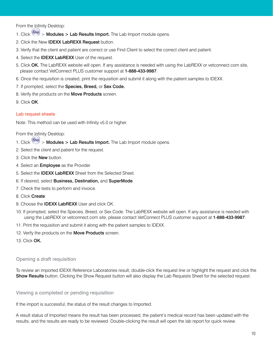From the Infinity Desktop:

- 1. Click  $\left(\begin{matrix} \infty & \infty \end{matrix}\right)$  > Modules > Lab Results Import. The Lab Import module opens.
- 2. Click the New IDEXX LabREXX Request button.
- 3. Verify that the client and patient are correct or use Find Client to select the correct client and patient.
- 4. Select the **IDEXX LabREXX** User of the request.
- 5. Click OK. The LabREXX website will open. If any assistance is needed with using the LabREXX or vetconnect.com site, please contact VetConnect PLUS customer support at 1-888-433-9987.
- 6. Once the requisition is created, print the requisition and submit it along with the patient samples to IDEXX.
- 7. If prompted, select the Species, Breed, or Sex Code.
- 8. Verify the products on the **Move Products** screen.
- 9. Click OK.

# <span id="page-9-0"></span>Lab request sheets

Note: This method can be used with Infinity v5.0 or higher.

From the Infinity Desktop:

- 1. Click  $\left(\frac{\infty}{\cdot}\right)$  > Modules > Lab Results Import. The Lab Import module opens.
- 2. Select the client and patient for the request.
- 3. Click the New button.
- 4. Select an **Employee** as the Provider.
- 5. Select the IDEXX LabREXX Sheet from the Selected Sheet.
- 6. If desired, select Business, Destination, and SuperMode.
- 7. Check the tests to perform and invoice.
- 8. Click Create.
- 9. Choose the **IDEXX LabREXX** User and click OK.
- 10. If prompted, select the Species, Breed, or Sex Code. The LabREXX website will open. If any assistance is needed with using the LabREXX or vetconnect.com site, please contact VetConnect PLUS customer support at 1-888-433-9987.
- 11. Print the requisition and submit it along with the patient samples to IDEXX.
- 12. Verify the products on the Move Products screen.
- 13. Click OK.

# <span id="page-9-1"></span>Opening a draft requisition

To review an imported IDEXX Reference Laboratories result, double-click the request line or highlight the request and click the **Show Results** button. Clicking the Show Request button will also display the Lab Requests Sheet for the selected request.

#### <span id="page-9-2"></span>Viewing a completed or pending requisition

If the import is successful, the status of the result changes to Imported.

A result status of Imported means the result has been processed, the patient's medical record has been updated with the results, and the results are ready to be reviewed. Double-clicking the result will open the lab report for quick review.